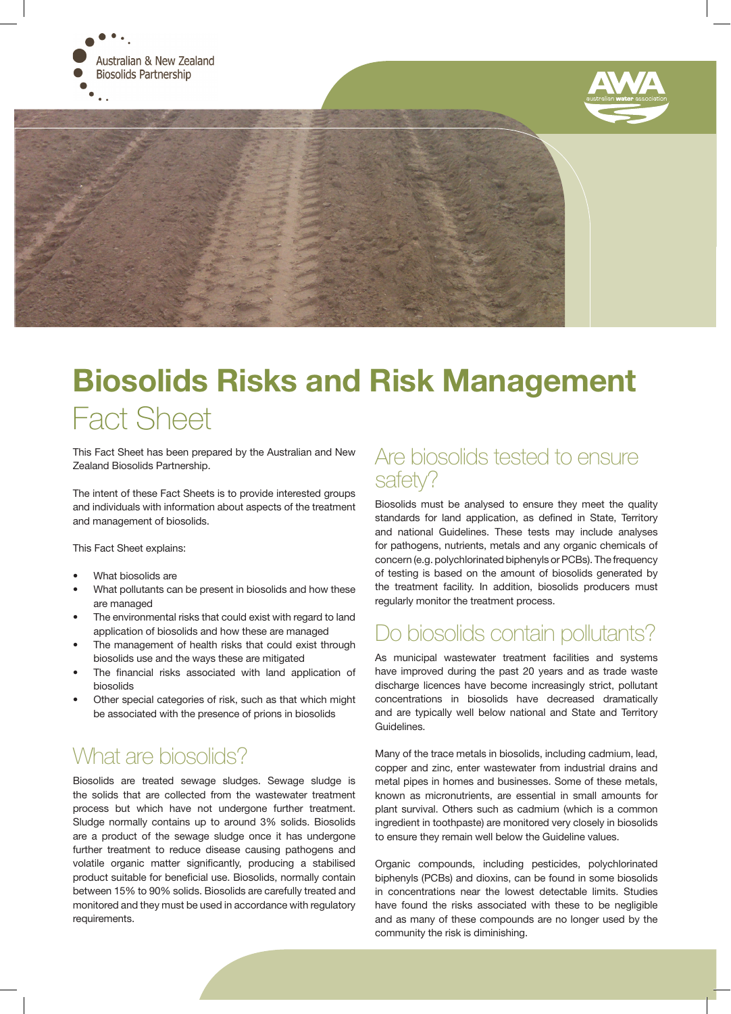





# Biosolids Risks and Risk Management Fact Sheet

This Fact Sheet has been prepared by the Australian and New Zealand Biosolids Partnership.

The intent of these Fact Sheets is to provide interested groups and individuals with information about aspects of the treatment and management of biosolids.

This Fact Sheet explains:

- What biosolids are
- What pollutants can be present in biosolids and how these are managed
- The environmental risks that could exist with regard to land application of biosolids and how these are managed
- The management of health risks that could exist through biosolids use and the ways these are mitigated
- The financial risks associated with land application of biosolids
- Other special categories of risk, such as that which might be associated with the presence of prions in biosolids

# What are biosolids?

Biosolids are treated sewage sludges. Sewage sludge is the solids that are collected from the wastewater treatment process but which have not undergone further treatment. Sludge normally contains up to around 3% solids. Biosolids are a product of the sewage sludge once it has undergone further treatment to reduce disease causing pathogens and volatile organic matter significantly, producing a stabilised product suitable for beneficial use. Biosolids, normally contain between 15% to 90% solids. Biosolids are carefully treated and monitored and they must be used in accordance with regulatory requirements.

#### Are biosolids tested to ensure safety?

Biosolids must be analysed to ensure they meet the quality standards for land application, as defined in State, Territory and national Guidelines. These tests may include analyses for pathogens, nutrients, metals and any organic chemicals of concern (e.g. polychlorinated biphenyls or PCBs). The frequency of testing is based on the amount of biosolids generated by the treatment facility. In addition, biosolids producers must regularly monitor the treatment process.

# Do biosolids contain pollutants?

As municipal wastewater treatment facilities and systems have improved during the past 20 years and as trade waste discharge licences have become increasingly strict, pollutant concentrations in biosolids have decreased dramatically and are typically well below national and State and Territory Guidelines.

Many of the trace metals in biosolids, including cadmium, lead, copper and zinc, enter wastewater from industrial drains and metal pipes in homes and businesses. Some of these metals, known as micronutrients, are essential in small amounts for plant survival. Others such as cadmium (which is a common ingredient in toothpaste) are monitored very closely in biosolids to ensure they remain well below the Guideline values.

Organic compounds, including pesticides, polychlorinated biphenyls (PCBs) and dioxins, can be found in some biosolids in concentrations near the lowest detectable limits. Studies have found the risks associated with these to be negligible and as many of these compounds are no longer used by the community the risk is diminishing.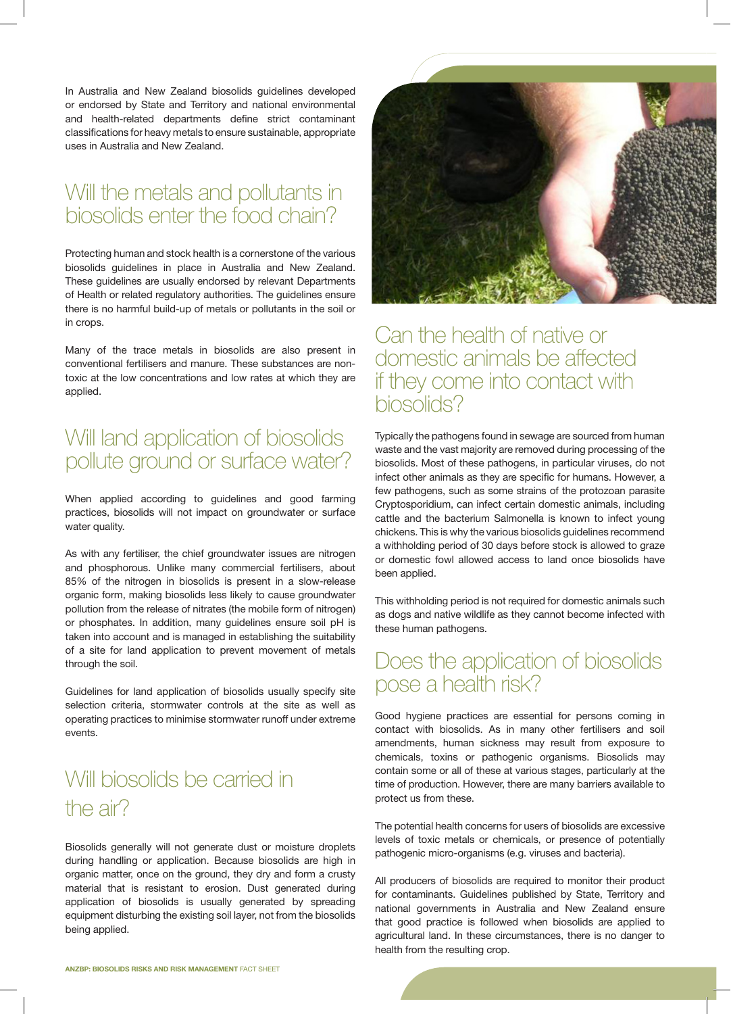In Australia and New Zealand biosolids guidelines developed or endorsed by State and Territory and national environmental and health-related departments define strict contaminant classifications for heavy metals to ensure sustainable, appropriate uses in Australia and New Zealand.

## Will the metals and pollutants in biosolids enter the food chain?

Protecting human and stock health is a cornerstone of the various biosolids guidelines in place in Australia and New Zealand. These guidelines are usually endorsed by relevant Departments of Health or related regulatory authorities. The guidelines ensure there is no harmful build-up of metals or pollutants in the soil or in crops.

Many of the trace metals in biosolids are also present in conventional fertilisers and manure. These substances are nontoxic at the low concentrations and low rates at which they are applied.

# Will land application of biosolids pollute ground or surface water?

When applied according to guidelines and good farming practices, biosolids will not impact on groundwater or surface water quality.

As with any fertiliser, the chief groundwater issues are nitrogen and phosphorous. Unlike many commercial fertilisers, about 85% of the nitrogen in biosolids is present in a slow-release organic form, making biosolids less likely to cause groundwater pollution from the release of nitrates (the mobile form of nitrogen) or phosphates. In addition, many guidelines ensure soil pH is taken into account and is managed in establishing the suitability of a site for land application to prevent movement of metals through the soil.

Guidelines for land application of biosolids usually specify site selection criteria, stormwater controls at the site as well as operating practices to minimise stormwater runoff under extreme events.

# Will biosolids be carried in the air?

Biosolids generally will not generate dust or moisture droplets during handling or application. Because biosolids are high in organic matter, once on the ground, they dry and form a crusty material that is resistant to erosion. Dust generated during application of biosolids is usually generated by spreading equipment disturbing the existing soil layer, not from the biosolids being applied.



#### Can the health of native or domestic animals be affected if they come into contact with biosolids?

Typically the pathogens found in sewage are sourced from human waste and the vast majority are removed during processing of the biosolids. Most of these pathogens, in particular viruses, do not infect other animals as they are specific for humans. However, a few pathogens, such as some strains of the protozoan parasite Cryptosporidium, can infect certain domestic animals, including cattle and the bacterium Salmonella is known to infect young chickens. This is why the various biosolids guidelines recommend a withholding period of 30 days before stock is allowed to graze or domestic fowl allowed access to land once biosolids have been applied.

This withholding period is not required for domestic animals such as dogs and native wildlife as they cannot become infected with these human pathogens.

## Does the application of biosolids pose a health risk?

Good hygiene practices are essential for persons coming in contact with biosolids. As in many other fertilisers and soil amendments, human sickness may result from exposure to chemicals, toxins or pathogenic organisms. Biosolids may contain some or all of these at various stages, particularly at the time of production. However, there are many barriers available to protect us from these.

The potential health concerns for users of biosolids are excessive levels of toxic metals or chemicals, or presence of potentially pathogenic micro-organisms (e.g. viruses and bacteria).

All producers of biosolids are required to monitor their product for contaminants. Guidelines published by State, Territory and national governments in Australia and New Zealand ensure that good practice is followed when biosolids are applied to agricultural land. In these circumstances, there is no danger to health from the resulting crop.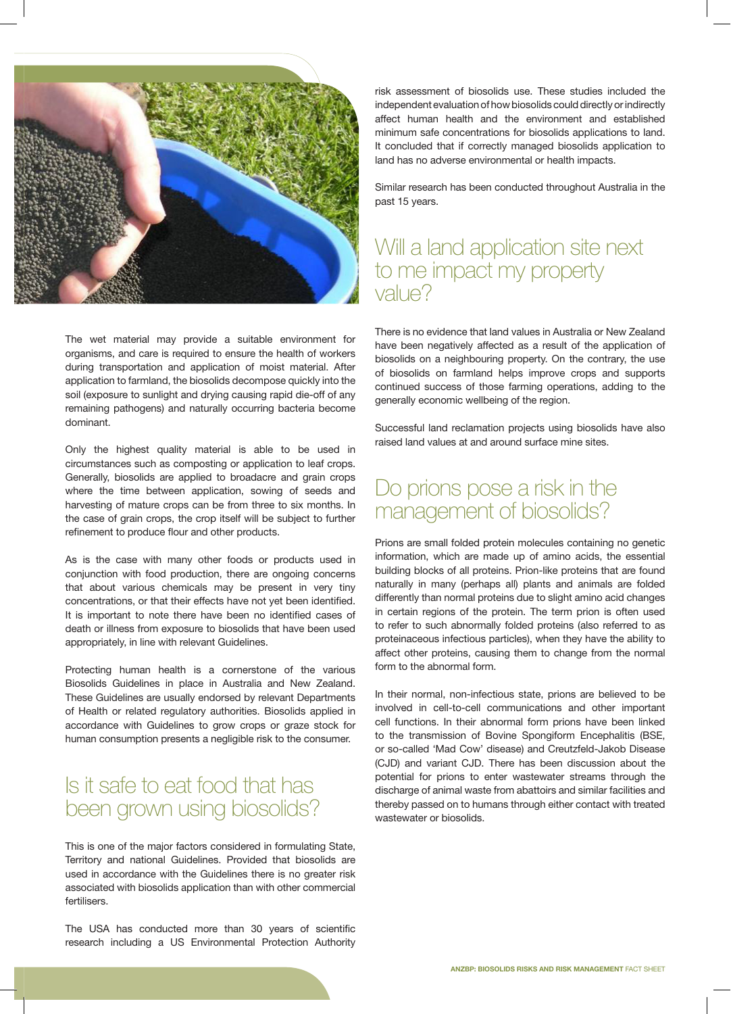

The wet material may provide a suitable environment for organisms, and care is required to ensure the health of workers during transportation and application of moist material. After application to farmland, the biosolids decompose quickly into the soil (exposure to sunlight and drying causing rapid die-off of any remaining pathogens) and naturally occurring bacteria become dominant.

Only the highest quality material is able to be used in circumstances such as composting or application to leaf crops. Generally, biosolids are applied to broadacre and grain crops where the time between application, sowing of seeds and harvesting of mature crops can be from three to six months. In the case of grain crops, the crop itself will be subject to further refinement to produce flour and other products.

As is the case with many other foods or products used in conjunction with food production, there are ongoing concerns that about various chemicals may be present in very tiny concentrations, or that their effects have not yet been identified. It is important to note there have been no identified cases of death or illness from exposure to biosolids that have been used appropriately, in line with relevant Guidelines.

Protecting human health is a cornerstone of the various Biosolids Guidelines in place in Australia and New Zealand. These Guidelines are usually endorsed by relevant Departments of Health or related regulatory authorities. Biosolids applied in accordance with Guidelines to grow crops or graze stock for human consumption presents a negligible risk to the consumer.

# Is it safe to eat food that has been grown using biosolids?

This is one of the major factors considered in formulating State, Territory and national Guidelines. Provided that biosolids are used in accordance with the Guidelines there is no greater risk associated with biosolids application than with other commercial fertilisers.

The USA has conducted more than 30 years of scientific research including a US Environmental Protection Authority

risk assessment of biosolids use. These studies included the independent evaluation of how biosolids could directly or indirectly affect human health and the environment and established minimum safe concentrations for biosolids applications to land. It concluded that if correctly managed biosolids application to land has no adverse environmental or health impacts.

Similar research has been conducted throughout Australia in the past 15 years.

### Will a land application site next to me impact my property value?

There is no evidence that land values in Australia or New Zealand have been negatively affected as a result of the application of biosolids on a neighbouring property. On the contrary, the use of biosolids on farmland helps improve crops and supports continued success of those farming operations, adding to the generally economic wellbeing of the region.

Successful land reclamation projects using biosolids have also raised land values at and around surface mine sites.

## Do prions pose a risk in the management of biosolids?

Prions are small folded protein molecules containing no genetic information, which are made up of amino acids, the essential building blocks of all proteins. Prion-like proteins that are found naturally in many (perhaps all) plants and animals are folded differently than normal proteins due to slight amino acid changes in certain regions of the protein. The term prion is often used to refer to such abnormally folded proteins (also referred to as proteinaceous infectious particles), when they have the ability to affect other proteins, causing them to change from the normal form to the abnormal form.

In their normal, non-infectious state, prions are believed to be involved in cell-to-cell communications and other important cell functions. In their abnormal form prions have been linked to the transmission of Bovine Spongiform Encephalitis (BSE, or so-called 'Mad Cow' disease) and Creutzfeld-Jakob Disease (CJD) and variant CJD. There has been discussion about the potential for prions to enter wastewater streams through the discharge of animal waste from abattoirs and similar facilities and thereby passed on to humans through either contact with treated wastewater or biosolids.